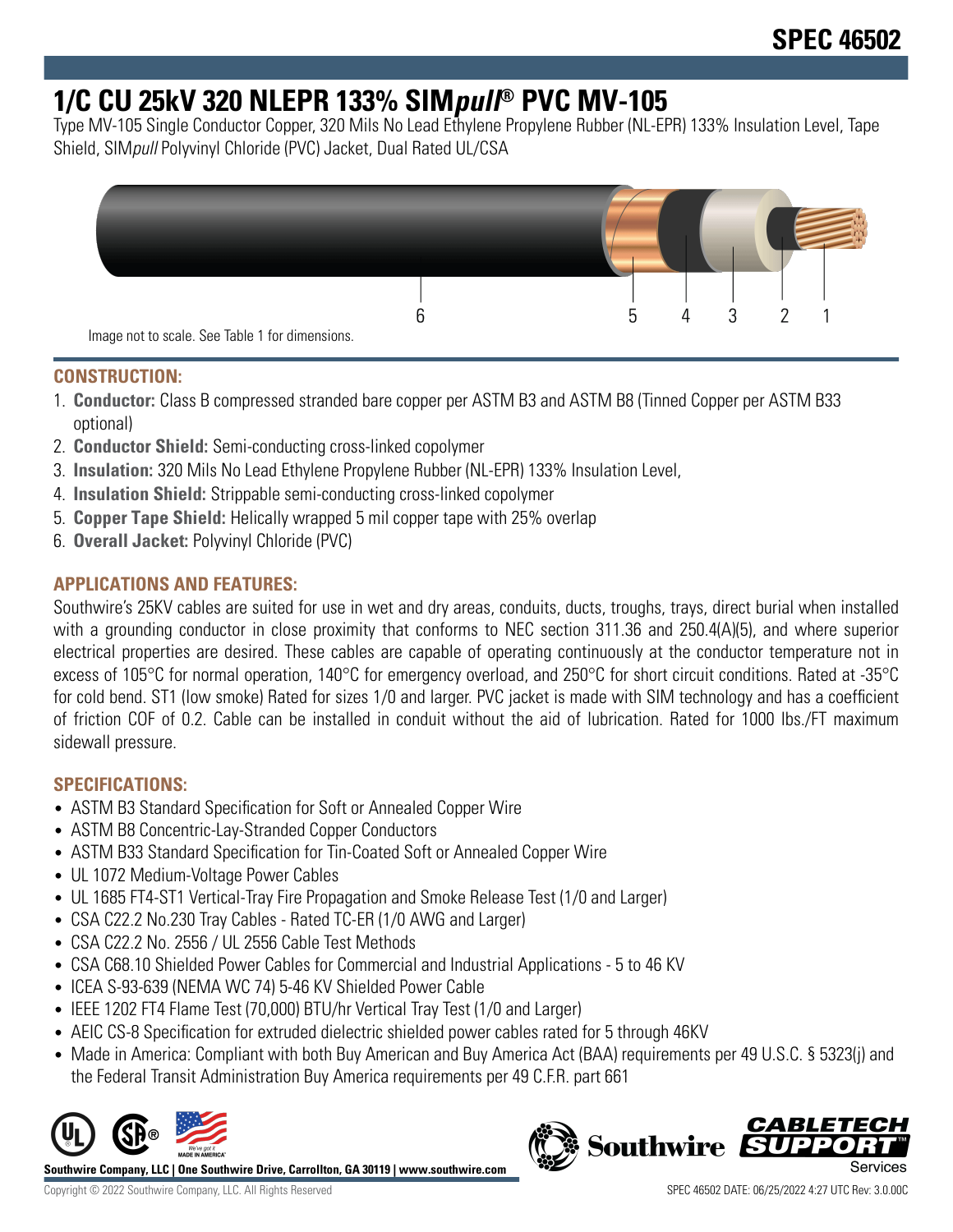# **1/C CU 25kV 320 NLEPR 133% SIMpull® PVC MV-105**

Type MV-105 Single Conductor Copper, 320 Mils No Lead Ethylene Propylene Rubber (NL-EPR) 133% Insulation Level, Tape Shield, SIMpull Polyvinyl Chloride (PVC) Jacket, Dual Rated UL/CSA



### **CONSTRUCTION:**

- 1. **Conductor:** Class B compressed stranded bare copper per ASTM B3 and ASTM B8 (Tinned Copper per ASTM B33 optional)
- 2. **Conductor Shield:** Semi-conducting cross-linked copolymer
- 3. **Insulation:** 320 Mils No Lead Ethylene Propylene Rubber (NL-EPR) 133% Insulation Level,
- 4. **Insulation Shield:** Strippable semi-conducting cross-linked copolymer
- 5. **Copper Tape Shield:** Helically wrapped 5 mil copper tape with 25% overlap
- 6. **Overall Jacket:** Polyvinyl Chloride (PVC)

## **APPLICATIONS AND FEATURES:**

Southwire's 25KV cables are suited for use in wet and dry areas, conduits, ducts, troughs, trays, direct burial when installed with a grounding conductor in close proximity that conforms to NEC section 311.36 and 250.4(A)(5), and where superior electrical properties are desired. These cables are capable of operating continuously at the conductor temperature not in excess of 105°C for normal operation, 140°C for emergency overload, and 250°C for short circuit conditions. Rated at -35°C for cold bend. ST1 (low smoke) Rated for sizes 1/0 and larger. PVC jacket is made with SIM technology and has a coefficient of friction COF of 0.2. Cable can be installed in conduit without the aid of lubrication. Rated for 1000 lbs./FT maximum sidewall pressure.

## **SPECIFICATIONS:**

- ASTM B3 Standard Specification for Soft or Annealed Copper Wire
- ASTM B8 Concentric-Lay-Stranded Copper Conductors
- ASTM B33 Standard Specification for Tin-Coated Soft or Annealed Copper Wire
- UL 1072 Medium-Voltage Power Cables
- UL 1685 FT4-ST1 Vertical-Tray Fire Propagation and Smoke Release Test (1/0 and Larger)
- CSA C22.2 No.230 Tray Cables Rated TC-ER (1/0 AWG and Larger)
- CSA C22.2 No. 2556 / UL 2556 Cable Test Methods
- CSA C68.10 Shielded Power Cables for Commercial and Industrial Applications 5 to 46 KV
- ICEA S-93-639 (NEMA WC 74) 5-46 KV Shielded Power Cable
- IEEE 1202 FT4 Flame Test (70,000) BTU/hr Vertical Tray Test (1/0 and Larger)
- AEIC CS-8 Specification for extruded dielectric shielded power cables rated for 5 through 46KV
- Made in America: Compliant with both Buy American and Buy America Act (BAA) requirements per 49 U.S.C. § 5323(j) and the Federal Transit Administration Buy America requirements per 49 C.F.R. part 661



**Southwire Company, LLC | One Southwire Drive, Carrollton, GA 30119 | www.southwire.com**

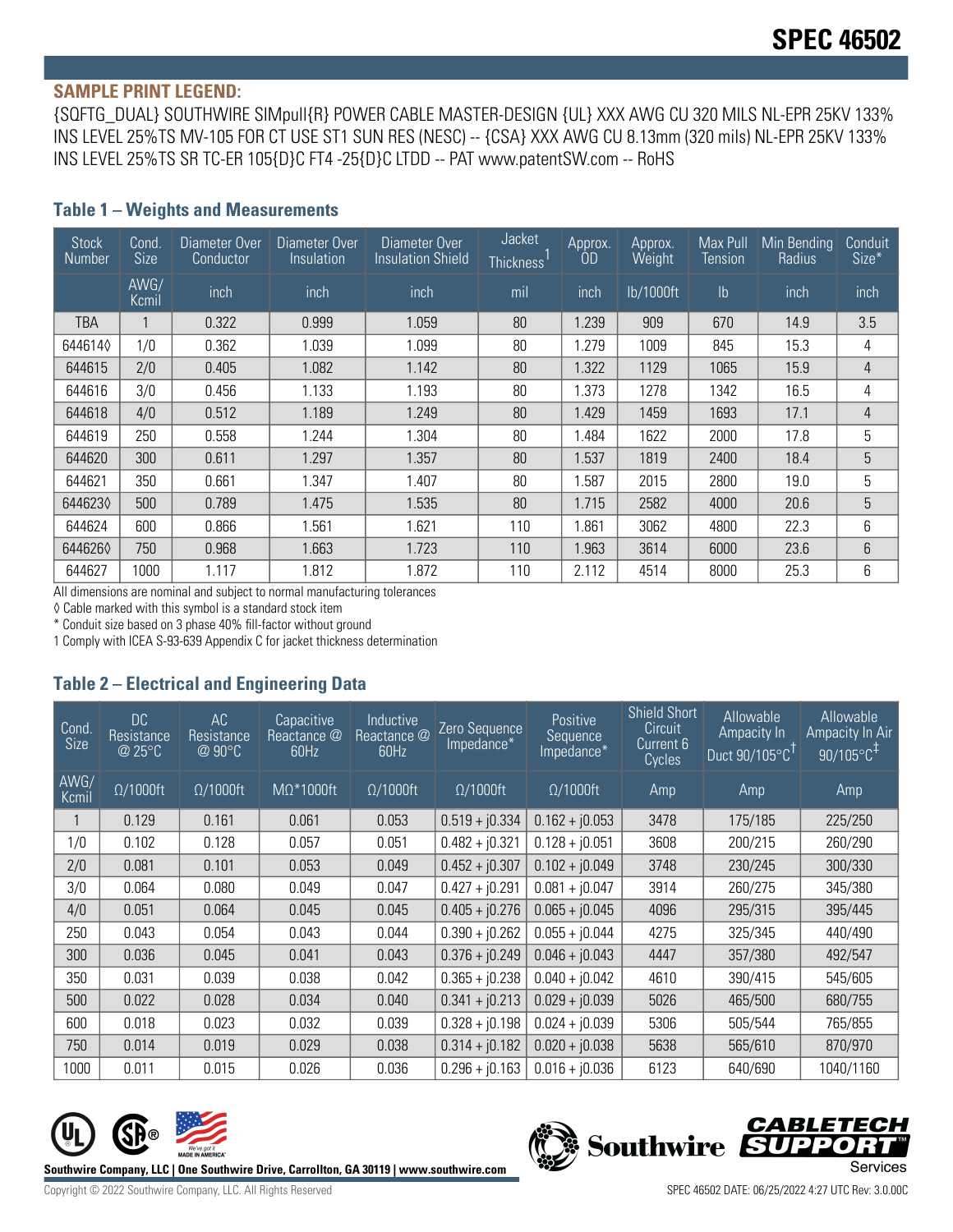#### **SAMPLE PRINT LEGEND:**

{SQFTG\_DUAL} SOUTHWIRE SIMpull{R} POWER CABLE MASTER-DESIGN {UL} XXX AWG CU 320 MILS NL-EPR 25KV 133% INS LEVEL 25%TS MV-105 FOR CT USE ST1 SUN RES (NESC) -- {CSA} XXX AWG CU 8.13mm (320 mils) NL-EPR 25KV 133% INS LEVEL 25%TS SR TC-ER 105{D}C FT4 -25{D}C LTDD -- PAT www.patentSW.com -- RoHS

| <b>Stock</b><br>Number | Cond.<br><b>Size</b> | Diameter Over<br>Conductor | Diameter Over<br>Insulation | Diameter Over<br><b>Insulation Shield</b> | Jacket<br><b>Thickness</b> | Approx.<br>0D | Approx.<br>Weight | Max Pull<br>Tension | Min Bending<br>Radius | Conduit<br>Size* |
|------------------------|----------------------|----------------------------|-----------------------------|-------------------------------------------|----------------------------|---------------|-------------------|---------------------|-----------------------|------------------|
|                        | AWG/<br>Kcmil        | inch                       | inch                        | inch                                      | mil                        | inch          | lb/1000ft         | $\mathsf{lb}$       | inch                  | inch             |
| TBA                    |                      | 0.322                      | 0.999                       | 1.059                                     | 80                         | 1.239         | 909               | 670                 | 14.9                  | 3.5              |
| 6446140                | 1/0                  | 0.362                      | 1.039                       | 1.099                                     | 80                         | 1.279         | 1009              | 845                 | 15.3                  | 4                |
| 644615                 | 2/0                  | 0.405                      | 1.082                       | 1.142                                     | 80                         | 1.322         | 1129              | 1065                | 15.9                  | 4                |
| 644616                 | 3/0                  | 0.456                      | 1.133                       | 1.193                                     | 80                         | 1.373         | 1278              | 1342                | 16.5                  | 4                |
| 644618                 | 4/0                  | 0.512                      | 1.189                       | 1.249                                     | 80                         | 1.429         | 1459              | 1693                | 17.1                  | 4                |
| 644619                 | 250                  | 0.558                      | 1.244                       | 1.304                                     | 80                         | 1.484         | 1622              | 2000                | 17.8                  | 5                |
| 644620                 | 300                  | 0.611                      | 1.297                       | 1.357                                     | 80                         | 1.537         | 1819              | 2400                | 18.4                  | 5                |
| 644621                 | 350                  | 0.661                      | 1.347                       | 1.407                                     | 80                         | 1.587         | 2015              | 2800                | 19.0                  | 5                |
| 6446230                | 500                  | 0.789                      | 1.475                       | 1.535                                     | 80                         | 1.715         | 2582              | 4000                | 20.6                  | 5                |
| 644624                 | 600                  | 0.866                      | 1.561                       | 1.621                                     | 110                        | .861          | 3062              | 4800                | 22.3                  | 6                |
| 6446260                | 750                  | 0.968                      | 1.663                       | 1.723                                     | 110                        | 1.963         | 3614              | 6000                | 23.6                  | 6                |
| 644627                 | 1000                 | 1.117                      | 1.812                       | 1.872                                     | 110                        | 2.112         | 4514              | 8000                | 25.3                  | 6                |

#### **Table 1 – Weights and Measurements**

All dimensions are nominal and subject to normal manufacturing tolerances

◊ Cable marked with this symbol is a standard stock item

\* Conduit size based on 3 phase 40% fill-factor without ground

1 Comply with ICEA S-93-639 Appendix C for jacket thickness determination

#### **Table 2 – Electrical and Engineering Data**

| Cond<br>Size  | DC<br>Resistance<br>@ 25°C | AC<br>Resistance<br>@ 90°C | Capacitive<br>Reactance @<br>60Hz | Inductive<br>Reactance @<br>60Hz | Zero Sequence<br>Impedance* | Positive<br>Sequence<br>Impedance* | <b>Shield Short</b><br>Circuit<br>Current 6<br>Cycles | Allowable<br>Ampacity In<br>Duct $90/105^{\circ}$ C <sup>TI</sup> | Allowable<br>Ampacity In Air<br>$90/105^{\circ}C^{\text{F}}$ |
|---------------|----------------------------|----------------------------|-----------------------------------|----------------------------------|-----------------------------|------------------------------------|-------------------------------------------------------|-------------------------------------------------------------------|--------------------------------------------------------------|
| AWG/<br>Kcmil | $\Omega/1000$ ft           | $\Omega/1000$ ft           | $M\Omega^*1000$ ft                | $\Omega/1000$ ft                 | $\Omega/1000$ ft            | $\Omega/1000$ ft                   | Amp                                                   | Amp                                                               | Amp                                                          |
|               | 0.129                      | 0.161                      | 0.061                             | 0.053                            | $0.519 + j0.334$            | $0.162 + j0.053$                   | 3478                                                  | 175/185                                                           | 225/250                                                      |
| 1/0           | 0.102                      | 0.128                      | 0.057                             | 0.051                            | $0.482 + j0.321$            | $0.128 + j0.051$                   | 3608                                                  | 200/215                                                           | 260/290                                                      |
| 2/0           | 0.081                      | 0.101                      | 0.053                             | 0.049                            | $0.452 + j0.307$            | $0.102 + j0.049$                   | 3748                                                  | 230/245                                                           | 300/330                                                      |
| 3/0           | 0.064                      | 0.080                      | 0.049                             | 0.047                            | $0.427 + j0.291$            | $0.081 + i0.047$                   | 3914                                                  | 260/275                                                           | 345/380                                                      |
| 4/0           | 0.051                      | 0.064                      | 0.045                             | 0.045                            | $0.405 + j0.276$            | $0.065 + j0.045$                   | 4096                                                  | 295/315                                                           | 395/445                                                      |
| 250           | 0.043                      | 0.054                      | 0.043                             | 0.044                            | $0.390 + j0.262$            | $0.055 + j0.044$                   | 4275                                                  | 325/345                                                           | 440/490                                                      |
| 300           | 0.036                      | 0.045                      | 0.041                             | 0.043                            | $0.376 + j0.249$            | $0.046 + j0.043$                   | 4447                                                  | 357/380                                                           | 492/547                                                      |
| 350           | 0.031                      | 0.039                      | 0.038                             | 0.042                            | $0.365 + j0.238$            | $0.040 + j0.042$                   | 4610                                                  | 390/415                                                           | 545/605                                                      |
| 500           | 0.022                      | 0.028                      | 0.034                             | 0.040                            | $0.341 + j0.213$            | $0.029 + j0.039$                   | 5026                                                  | 465/500                                                           | 680/755                                                      |
| 600           | 0.018                      | 0.023                      | 0.032                             | 0.039                            | $0.328 + j0.198$            | $0.024 + j0.039$                   | 5306                                                  | 505/544                                                           | 765/855                                                      |
| 750           | 0.014                      | 0.019                      | 0.029                             | 0.038                            | $0.314 + j0.182$            | $0.020 + j0.038$                   | 5638                                                  | 565/610                                                           | 870/970                                                      |
| 1000          | 0.011                      | 0.015                      | 0.026                             | 0.036                            | $0.296 + j0.163$            | $0.016 + j0.036$                   | 6123                                                  | 640/690                                                           | 1040/1160                                                    |



Southwire Company, LLC | One Southwire Drive, Carrollton, GA 30119 | www.southwire.com **Second Company** Services